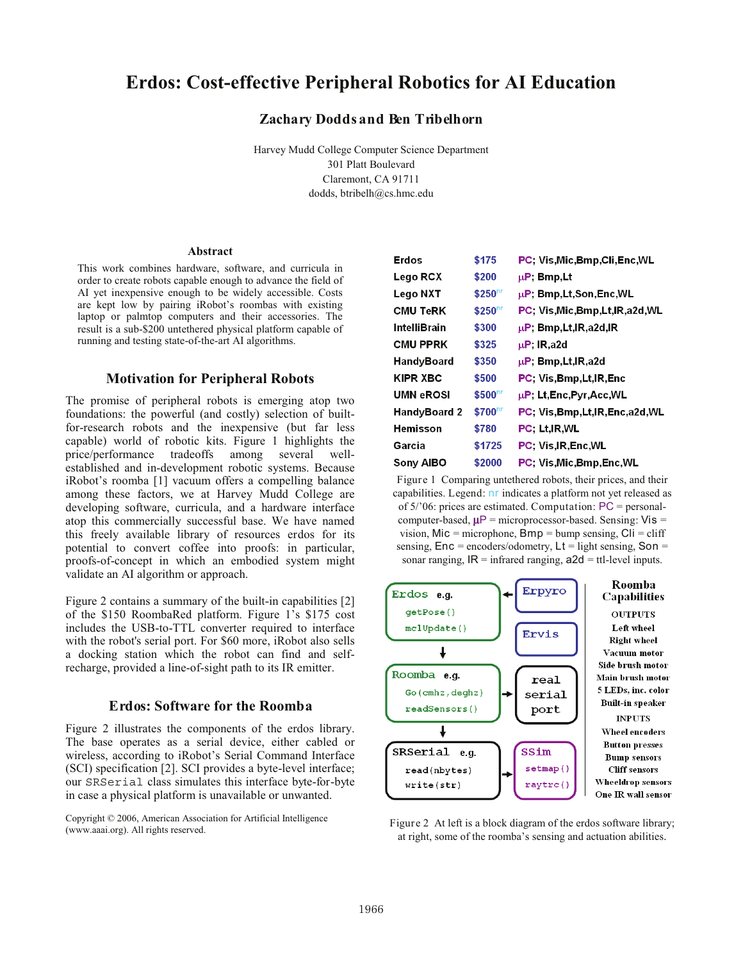# **Erdos: Cost-effective Peripheral Robotics for AI Education**

## **Zachary Dodds and Ben Tribelhorn**

Harvey Mudd College Computer Science Department 301 Platt Boulevard Claremont, CA 91711 dodds, btribelh@cs.hmc.edu

#### **Abstract**

This work combines hardware, software, and curricula in order to create robots capable enough to advance the field of AI yet inexpensive enough to be widely accessible. Costs are kept low by pairing iRobot's roombas with existing laptop or palmtop computers and their accessories. The result is a sub-\$200 untethered physical platform capable of running and testing state-of-the-art AI algorithms.

## **Motivation for Peripheral Robots**

The promise of peripheral robots is emerging atop two foundations: the powerful (and costly) selection of builtfor-research robots and the inexpensive (but far less capable) world of robotic kits. Figure 1 highlights the price/performance tradeoffs among several wellestablished and in-development robotic systems. Because iRobot's roomba [1] vacuum offers a compelling balance among these factors, we at Harvey Mudd College are developing software, curricula, and a hardware interface atop this commercially successful base. We have named this freely available library of resources erdos for its potential to convert coffee into proofs: in particular, proofs-of-concept in which an embodied system might validate an AI algorithm or approach.

Figure 2 contains a summary of the built-in capabilities [2] of the \$150 RoombaRed platform. Figure 1's \$175 cost includes the USB-to-TTL converter required to interface with the robot's serial port. For \$60 more, iRobot also sells a docking station which the robot can find and selfrecharge, provided a line-of-sight path to its IR emitter.

#### **Erdos: Software for the Roomba**

Figure 2 illustrates the components of the erdos library. The base operates as a serial device, either cabled or wireless, according to iRobot's Serial Command Interface (SCI) specification [2]. SCI provides a byte-level interface; our SRSerial class simulates this interface byte-for-byte in case a physical platform is unavailable or unwanted.

Copyright © 2006, American Association for Artificial Intelligence (www.aaai.org). All rights reserved.

| Erdos            | \$175                | PC: Vis.Mic.Bmp.Cli.Enc.WL          |
|------------------|----------------------|-------------------------------------|
| Lego RCX         | \$200                | $\mu$ P; Bmp,Lt                     |
| Lego NXT         | $$250$ <sup>nr</sup> | $\mu$ P; Bmp,Lt,Son,Enc,WL          |
| CMU TeRK         | $$250$ <sup>nr</sup> | PC, Vis, Mic, Bmp, Lt, IR, a 2d, WL |
| IntelliBrain     | \$300                | $\mu$ P, Bmp, Lt, IR, a 2d, IR      |
| <b>CMU PPRK</b>  | \$325                | $\mu$ P; IR.a2d                     |
| HandyBoard       | \$350                | $\mu$ P, Bmp, Lt, IR, a 2d          |
| <b>KIPR XBC</b>  | \$500                | PC Vis.Bmp.Lt.IR.Enc                |
| <b>UMN eROSI</b> | $$500$ <sup>nr</sup> | $\mu$ P; Lt,Enc,Pyr,Acc,WL          |
| HandyBoard 2     | $$700$ <sup>nr</sup> | PC. Vis.Bmp.Lt.IR.Enc.a2d.WL        |
| Hemisson         | \$780                | PC: Lt.IR.WL                        |
| Garcia           | \$1725               | <b>PC. Vis.IR.Enc.WL</b>            |
| <b>Sony AIBO</b> | \$2000               | PC, Vis, Mic, Bmp, Enc, WL          |

Figure 1 Comparing untethered robots, their prices, and their capabilities. Legend: nr indicates a platform not yet released as of 5/'06: prices are estimated. Computation: PC = personalcomputer-based,  $\mu$ P = microprocessor-based. Sensing: Vis = vision,  $Mic = microphone$ ,  $Bmp = bump$  sensing,  $Cli = cliff$ sensing,  $Enc = encoders/odometry$ ,  $Lt = light$  sensing,  $Son =$ sonar ranging,  $IR =$  infrared ranging,  $a2d =$  ttl-level inputs.